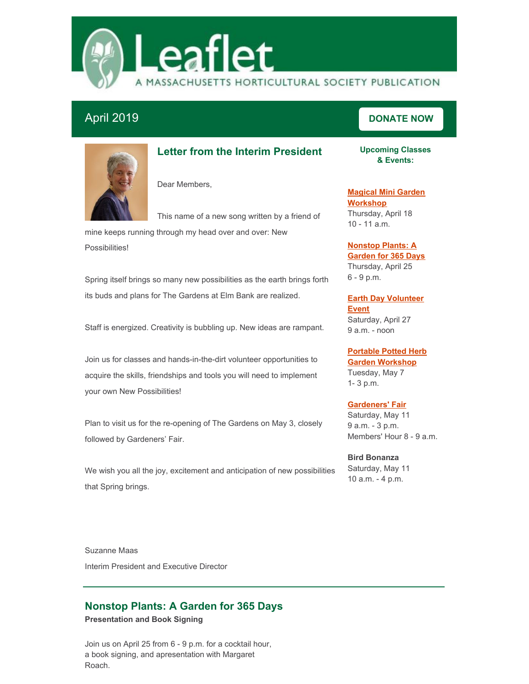

# **April 2019 [DONATE](https://masshort.org/support/donate/)** NOW



# **Letter from the Interim President**

Dear Members,

This name of a new song written by a friend of

mine keeps running through my head over and over: New Possibilities!

Spring itself brings so many new possibilities as the earth brings forth its buds and plans for The Gardens at Elm Bank are realized.

Staff is energized. Creativity is bubbling up. New ideas are rampant.

Join us for classes and hands-in-the-dirt volunteer opportunities to acquire the skills, friendships and tools you will need to implement your own New Possibilities!

Plan to visit us for the re-opening of The Gardens on May 3, closely followed by Gardeners' Fair.

We wish you all the joy, excitement and anticipation of new possibilities that Spring brings.

**Upcoming Classes & Events:**

**Magical Mini Garden [Workshop](http://events.constantcontact.com/register/event?llr=kzaorjcab&oeidk=a07eg58k0cf33989cf5)** Thursday, April 18 10 - 11 a.m.

### **[Nonstop](http://events.constantcontact.com/register/event?llr=kzaorjcab&oeidk=a07eg58lw6v8cf94c8d) Plants: A Garden for 365 Days**

Thursday, April 25 6 - 9 p.m.

### **Earth Day [Volunteer](https://www.signupgenius.com/go/70a0a45a5af23a46-earth1) Event**

Saturday, April 27 9 a.m. - noon

# **Portable Potted Herb**

**Garden [Workshop](http://events.r20.constantcontact.com/register/event?oeidk=a07eg6bvuy2099b07ae&llr=kzaorjcab)** Tuesday, May 7 1- 3 p.m.

## **[Gardeners'](https://masshort.org/garden-event/gardeners-fair/) Fair**

Saturday, May 11 9 a.m. - 3 p.m. Members' Hour 8 - 9 a.m.

**Bird Bonanza** Saturday, May 11 10 a.m. - 4 p.m.

Suzanne Maas Interim President and Executive Director

# **Nonstop Plants: A Garden for 365 Days**

**Presentation and Book Signing**

Join us on April 25 from 6 - 9 p.m. for a cocktail hour, a book signing, and apresentation with Margaret Roach.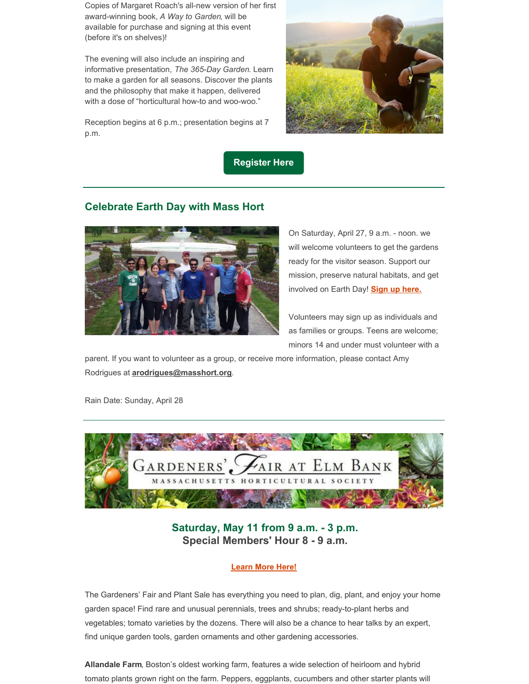Copies of Margaret Roach's all-new version of her first award-winning book, *A Way to Garden*, will be available for purchase and signing at this event (before it's on shelves)!

The evening will also include an inspiring and informative presentation, *The 365-Day Garden*. Learn to make a garden for all seasons. Discover the plants and the philosophy that make it happen, delivered with a dose of "horticultural how-to and woo-woo."

Reception begins at 6 p.m.; presentation begins at 7 p.m.



**[Register](http://events.r20.constantcontact.com/register/event?oeidk=a07eg58lw6v8cf94c8d&llr=kzaorjcab) Here**

## **Celebrate Earth Day with Mass Hort**



On Saturday, April 27, 9 a.m. - noon. we will welcome volunteers to get the gardens ready for the visitor season. Support our mission, preserve natural habitats, and get involved on Earth Day! **Sign up [here.](https://www.signupgenius.com/go/70a0a45a5af23a46-earth1)**

Volunteers may sign up as individuals and as families or groups. Teens are welcome; minors 14 and under must volunteer with a

parent. If you want to volunteer as a group, or receive more information, please contact Amy Rodrigues at **[arodrigues@masshort.org](mailto:arodrigues@masshort.org)**.

Rain Date: Sunday, April 28



**Saturday, May 11 from 9 a.m. - 3 p.m. Special Members' Hour 8 - 9 a.m.**

## **[Learn](https://masshort.org/garden-event/gardeners-fair/) More Here!**

The Gardeners' Fair and Plant Sale has everything you need to plan, dig, plant, and enjoy your home garden space! Find rare and unusual perennials, trees and shrubs; ready-to-plant herbs and vegetables; tomato varieties by the dozens. There will also be a chance to hear talks by an expert, find unique garden tools, garden ornaments and other gardening accessories.

**Allandale Farm**, Boston's oldest working farm, features a wide selection of heirloom and hybrid tomato plants grown right on the farm. Peppers, eggplants, cucumbers and other starter plants will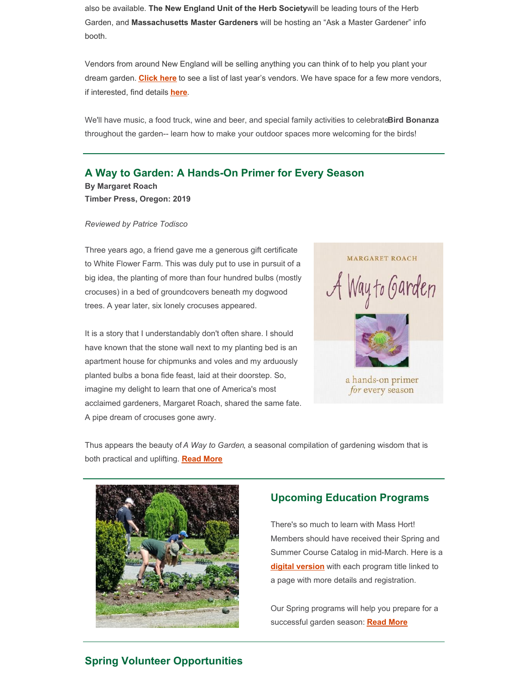also be available. **The New England Unit of the Herb Society**will be leading tours of the Herb Garden, and **Massachusetts Master Gardeners** will be hosting an "Ask a Master Gardener" info booth.

Vendors from around New England will be selling anything you can think of to help you plant your dream garden. **[Click](https://files.constantcontact.com/a2307139001/6dbb8a77-6962-402c-8fbd-28edafe1eb6a.pdf?rdr=true) here** to see a list of last year's vendors. We have space for a few more vendors, if interested, find details **[here](https://files.constantcontact.com/a2307139001/cfe190ce-fdb3-45b8-b0e3-ae135e068e56.pdf?rdr=true)**.

We'll have music, a food truck, wine and beer, and special family activities to celebrate**Bird Bonanza** throughout the garden-- learn how to make your outdoor spaces more welcoming for the birds!

## **A Way to Garden: A Hands-On Primer for Every Season**

**By Margaret Roach Timber Press, Oregon: 2019**

#### *Reviewed by Patrice Todisco*

Three years ago, a friend gave me a generous gift certificate to White Flower Farm. This was duly put to use in pursuit of a big idea, the planting of more than four hundred bulbs (mostly crocuses) in a bed of groundcovers beneath my dogwood trees. A year later, six lonely crocuses appeared.

It is a story that I understandably don't often share. I should have known that the stone wall next to my planting bed is an apartment house for chipmunks and voles and my arduously planted bulbs a bona fide feast, laid at their doorstep. So, imagine my delight to learn that one of America's most acclaimed gardeners, Margaret Roach, shared the same fate. A pipe dream of crocuses gone awry.



Thus appears the beauty of *A Way to Garden*, a seasonal compilation of gardening wisdom that is both practical and uplifting. **[Read](https://masshort.org/a-way-to-garden-a-hands-on-primer-for-every-season/) More**



## **Upcoming Education Programs**

There's so much to learn with Mass Hort! Members should have received their Spring and Summer Course Catalog in mid-March. Here is a **digital [version](https://files.constantcontact.com/a2307139001/a71467cd-8808-4a79-a326-7de509f6ed23.pdf?rdr=true)** with each program title linked to a page with more details and registration.

Our Spring programs will help you prepare for a successful garden season: **[Read](https://masshort.org/upcoming-education-classes/) More**

## **Spring Volunteer Opportunities**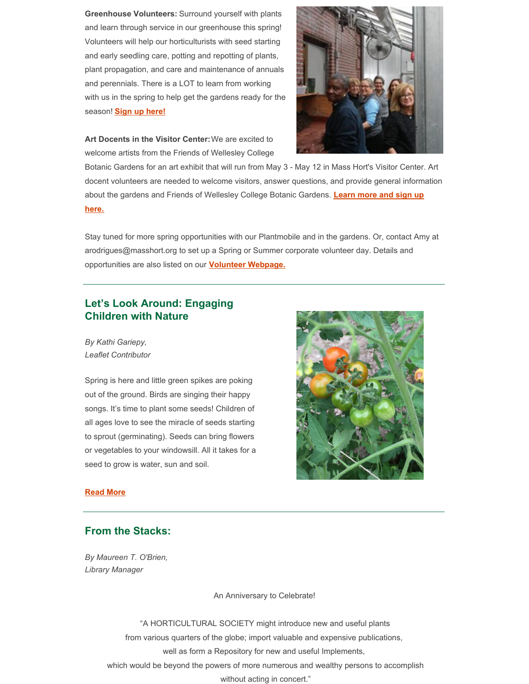**Greenhouse Volunteers:** Surround yourself with plants and learn through service in our greenhouse this spring! Volunteers will help our horticulturists with seed starting and early seedling care, potting and repotting of plants, plant propagation, and care and maintenance of annuals and perennials. There is a LOT to learn from working with us in the spring to help get the gardens ready for the season! **Sign up [here!](https://www.signupgenius.com/go/70a0a45a5af23a46-greenhouse1)**

**Art Docents in the Visitor Center:**We are excited to welcome artists from the Friends of Wellesley College



Botanic Gardens for an art exhibit that will run from May 3 - May 12 in Mass Hort's Visitor Center. Art docent volunteers are needed to welcome visitors, answer questions, and provide general information about the gardens and Friends of [Wellesley](https://www.signupgenius.com/go/70a0a45a5af23a46-artdocent) College Botanic Gardens. **Learn more and sign up here.**

Stay tuned for more spring opportunities with our Plantmobile and in the gardens. Or, contact Amy at arodrigues@masshort.org to set up a Spring or Summer corporate volunteer day. Details and opportunities are also listed on our **Volunteer [Webpage.](https://masshort.org/support/volunteer/)**

# **Let's Look Around: Engaging Children with Nature**

*By Kathi Gariepy, Leaflet Contributor*

Spring is here and little green spikes are poking out of the ground. Birds are singing their happy songs. It's time to plant some seeds! Children of all ages love to see the miracle of seeds starting to sprout (germinating). Seeds can bring flowers or vegetables to your windowsill. All it takes for a seed to grow is water, sun and soil.



#### **[Read](https://masshort.org/lets-look-around-planting-seeds/) More**

## **From the Stacks:**

*By Maureen T. O'Brien, Library Manager*

An Anniversary to Celebrate!

"A HORTICULTURAL SOCIETY might introduce new and useful plants from various quarters of the globe; import valuable and expensive publications, well as form a Repository for new and useful Implements, which would be beyond the powers of more numerous and wealthy persons to accomplish

without acting in concert."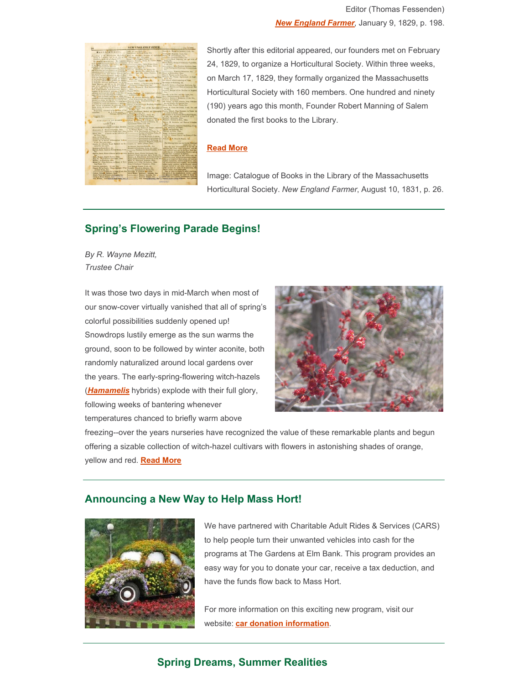

*New [England](https://babel.hathitrust.org/cgi/pt?id=uma.ark:/13960/t0ks6xh1n;view=1up;seq=212) Farmer*, January 9, 1829, p. 198. Shortly after this editorial appeared, our founders met on February 24, 1829, to organize a Horticultural Society. Within three weeks, on March 17, 1829, they formally organized the Massachusetts

Editor (Thomas Fessenden)

Horticultural Society with 160 members. One hundred and ninety (190) years ago this month, Founder Robert Manning of Salem donated the first books to the Library.

#### **[Read](https://masshort.org/from-the-stacks-april-2019/) More**

Image: Catalogue of Books in the Library of the Massachusetts Horticultural Society. *New England Farmer*, August 10, 1831, p. 26.

# **Spring's Flowering Parade Begins!**

*By R. Wayne Mezitt, Trustee Chair*

It was those two days in mid-March when most of our snow-cover virtually vanished that all of spring's colorful possibilities suddenly opened up! Snowdrops lustily emerge as the sun warms the ground, soon to be followed by winter aconite, both randomly naturalized around local gardens over the years. The early-spring-flowering witch-hazels (*[Hamamelis](http://plants.westonnurseries.com/12130019/Results?Keyword=hamamelis&CatAny=True&Height=Any&HeightDim=feet&Spread=Any&SpreadDim=feet&FlowerColor=&FlowerColorJS=&FoliageType=&FoliageColor=&FoliageColorJS=&FallColor=&FallColorJS=&SunShade=&Moisture=&Submit=Search)* hybrids) explode with their full glory, following weeks of bantering whenever temperatures chanced to briefly warm above



freezing--over the years nurseries have recognized the value of these remarkable plants and begun offering a sizable collection of witch-hazel cultivars with flowers in astonishing shades of orange, yellow and red. **[Read](https://masshort.org/springs-flowering-parade-begins/) More**

## **Announcing a New Way to Help Mass Hort!**



We have partnered with Charitable Adult Rides & Services (CARS) to help people turn their unwanted vehicles into cash for the programs at The Gardens at Elm Bank. This program provides an easy way for you to donate your car, receive a tax deduction, and have the funds flow back to Mass Hort.

For more information on this exciting new program, visit our website: **car donation [information](https://masshort.org/support/donate/car-donation/)**.

## **Spring Dreams, Summer Realities**